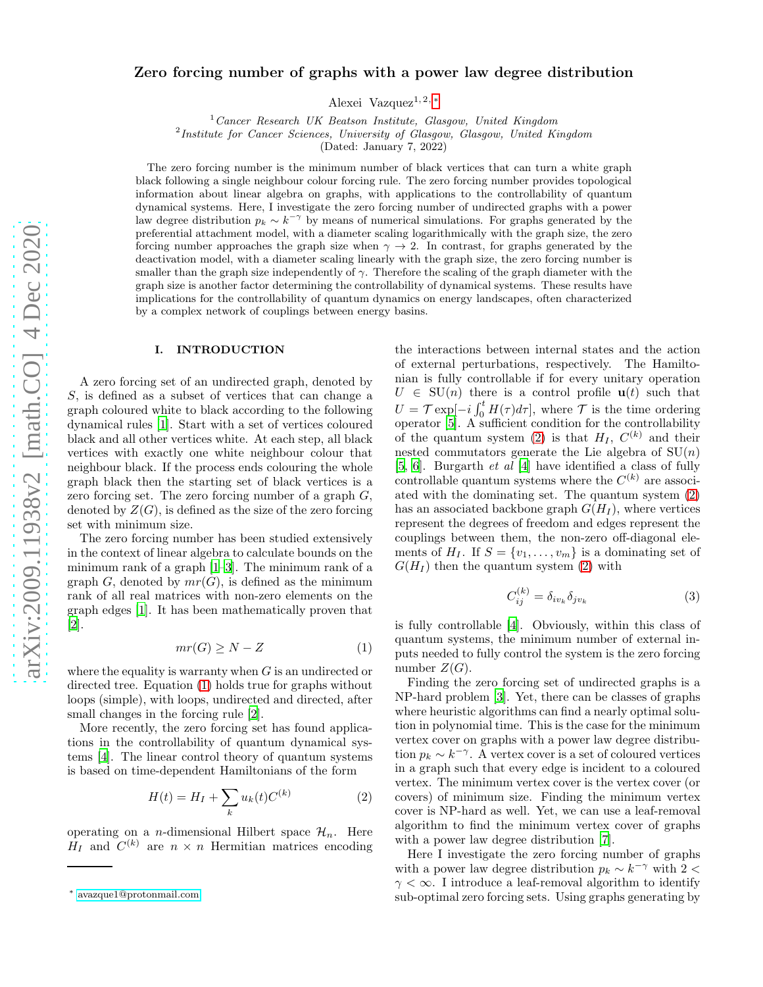# Zero forcing number of graphs with a power law degree distribution

Alexei Vazquez<sup>1, 2, \*</sup>

 $1$  Cancer Research UK Beatson Institute, Glasgow, United Kingdom

<sup>2</sup> Institute for Cancer Sciences, University of Glasgow, Glasgow, United Kingdom

(Dated: January 7, 2022)

The zero forcing number is the minimum number of black vertices that can turn a white graph black following a single neighbour colour forcing rule. The zero forcing number provides topological information about linear algebra on graphs, with applications to the controllability of quantum dynamical systems. Here, I investigate the zero forcing number of undirected graphs with a power law degree distribution  $p_k \sim k^{-\gamma}$  by means of numerical simulations. For graphs generated by the preferential attachment model, with a diameter scaling logarithmically with the graph size, the zero forcing number approaches the graph size when  $\gamma \to 2$ . In contrast, for graphs generated by the deactivation model, with a diameter scaling linearly with the graph size, the zero forcing number is smaller than the graph size independently of  $\gamma$ . Therefore the scaling of the graph diameter with the graph size is another factor determining the controllability of dynamical systems. These results have implications for the controllability of quantum dynamics on energy landscapes, often characterized by a complex network of couplings between energy basins.

### I. INTRODUCTION

A zero forcing set of an undirected graph, denoted by S, is defined as a subset of vertices that can change a graph coloured white to black according to the following dynamical rules [\[1](#page-4-0)]. Start with a set of vertices coloured black and all other vertices white. At each step, all black vertices with exactly one white neighbour colour that neighbour black. If the process ends colouring the whole graph black then the starting set of black vertices is a zero forcing set. The zero forcing number of a graph  $G$ , denoted by  $Z(G)$ , is defined as the size of the zero forcing set with minimum size.

The zero forcing number has been studied extensively in the context of linear algebra to calculate bounds on the minimum rank of a graph [\[1](#page-4-0)[–3\]](#page-4-1). The minimum rank of a graph G, denoted by  $mr(G)$ , is defined as the minimum rank of all real matrices with non-zero elements on the graph edges [\[1](#page-4-0)]. It has been mathematically proven that [\[2\]](#page-4-2).

<span id="page-0-1"></span>
$$
mr(G) \ge N - Z \tag{1}
$$

where the equality is warranty when  $G$  is an undirected or directed tree. Equation [\(1\)](#page-0-1) holds true for graphs without loops (simple), with loops, undirected and directed, after small changes in the forcing rule [\[2](#page-4-2)].

More recently, the zero forcing set has found applications in the controllability of quantum dynamical systems [\[4\]](#page-5-0). The linear control theory of quantum systems is based on time-dependent Hamiltonians of the form

<span id="page-0-2"></span>
$$
H(t) = H_I + \sum_{k} u_k(t) C^{(k)} \tag{2}
$$

operating on a *n*-dimensional Hilbert space  $\mathcal{H}_n$ . Here  $H_I$  and  $C^{(k)}$  are  $n \times n$  Hermitian matrices encoding

the interactions between internal states and the action of external perturbations, respectively. The Hamiltonian is fully controllable if for every unitary operation  $U \in SU(n)$  there is a control profile  $u(t)$  such that  $U = \mathcal{T} \exp[-i \int_0^t H(\tau) d\tau],$  where  $\mathcal{T}$  is the time ordering operator [\[5\]](#page-5-1). A sufficient condition for the controllability of the quantum system [\(2\)](#page-0-2) is that  $H_I$ ,  $C^{(k)}$  and their nested commutators generate the Lie algebra of  $SU(n)$ [\[5,](#page-5-1) [6](#page-5-2)]. Burgarth et al [\[4](#page-5-0)] have identified a class of fully controllable quantum systems where the  $C^{(k)}$  are associated with the dominating set. The quantum system [\(2\)](#page-0-2) has an associated backbone graph  $G(H_I)$ , where vertices represent the degrees of freedom and edges represent the couplings between them, the non-zero off-diagonal elements of  $H_I$ . If  $S = \{v_1, \ldots, v_m\}$  is a dominating set of  $G(H_I)$  then the quantum system [\(2\)](#page-0-2) with

<span id="page-0-3"></span>
$$
C_{ij}^{(k)} = \delta_{iv_k} \delta_{jv_k} \tag{3}
$$

is fully controllable [\[4](#page-5-0)]. Obviously, within this class of quantum systems, the minimum number of external inputs needed to fully control the system is the zero forcing number  $Z(G)$ .

Finding the zero forcing set of undirected graphs is a NP-hard problem [\[3\]](#page-4-1). Yet, there can be classes of graphs where heuristic algorithms can find a nearly optimal solution in polynomial time. This is the case for the minimum vertex cover on graphs with a power law degree distribution  $p_k \sim k^{-\gamma}$ . A vertex cover is a set of coloured vertices in a graph such that every edge is incident to a coloured vertex. The minimum vertex cover is the vertex cover (or covers) of minimum size. Finding the minimum vertex cover is NP-hard as well. Yet, we can use a leaf-removal algorithm to find the minimum vertex cover of graphs with a power law degree distribution [\[7](#page-5-3)].

Here I investigate the zero forcing number of graphs with a power law degree distribution  $p_k \sim k^{-\gamma}$  with 2 <  $\gamma < \infty$ . I introduce a leaf-removal algorithm to identify sub-optimal zero forcing sets. Using graphs generating by

<span id="page-0-0"></span><sup>∗</sup> [avazque1@protonmail.com](mailto:avazque1@protonmail.com)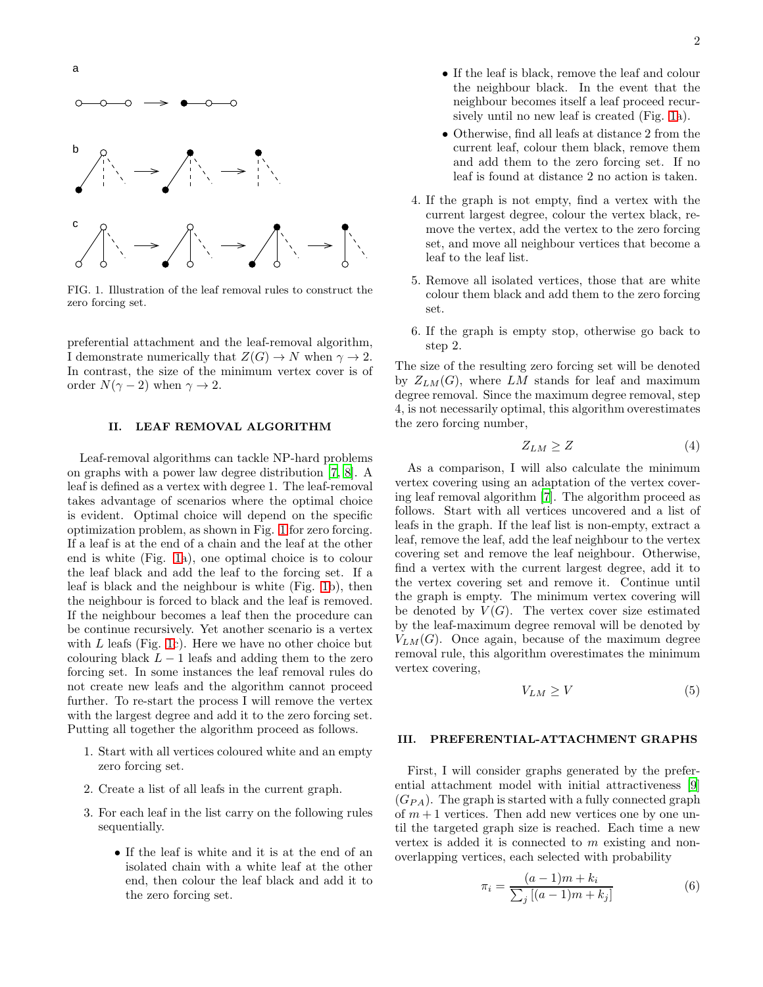

<span id="page-1-0"></span>FIG. 1. Illustration of the leaf removal rules to construct the zero forcing set.

preferential attachment and the leaf-removal algorithm, I demonstrate numerically that  $Z(G) \to N$  when  $\gamma \to 2$ . In contrast, the size of the minimum vertex cover is of order  $N(\gamma - 2)$  when  $\gamma \to 2$ .

## II. LEAF REMOVAL ALGORITHM

Leaf-removal algorithms can tackle NP-hard problems on graphs with a power law degree distribution [\[7,](#page-5-3) [8\]](#page-5-4). A leaf is defined as a vertex with degree 1. The leaf-removal takes advantage of scenarios where the optimal choice is evident. Optimal choice will depend on the specific optimization problem, as shown in Fig. [1](#page-1-0) for zero forcing. If a leaf is at the end of a chain and the leaf at the other end is white (Fig. [1a](#page-1-0)), one optimal choice is to colour the leaf black and add the leaf to the forcing set. If a leaf is black and the neighbour is white (Fig. [1b](#page-1-0)), then the neighbour is forced to black and the leaf is removed. If the neighbour becomes a leaf then the procedure can be continue recursively. Yet another scenario is a vertex with  $L$  leafs (Fig. [1c](#page-1-0)). Here we have no other choice but colouring black  $L - 1$  leafs and adding them to the zero forcing set. In some instances the leaf removal rules do not create new leafs and the algorithm cannot proceed further. To re-start the process I will remove the vertex with the largest degree and add it to the zero forcing set. Putting all together the algorithm proceed as follows.

- 1. Start with all vertices coloured white and an empty zero forcing set.
- 2. Create a list of all leafs in the current graph.
- 3. For each leaf in the list carry on the following rules sequentially.
	- If the leaf is white and it is at the end of an isolated chain with a white leaf at the other end, then colour the leaf black and add it to the zero forcing set.
- If the leaf is black, remove the leaf and colour the neighbour black. In the event that the neighbour becomes itself a leaf proceed recursively until no new leaf is created (Fig. [1a](#page-1-0)).
- Otherwise, find all leafs at distance 2 from the current leaf, colour them black, remove them and add them to the zero forcing set. If no leaf is found at distance 2 no action is taken.
- 4. If the graph is not empty, find a vertex with the current largest degree, colour the vertex black, remove the vertex, add the vertex to the zero forcing set, and move all neighbour vertices that become a leaf to the leaf list.
- 5. Remove all isolated vertices, those that are white colour them black and add them to the zero forcing set.
- 6. If the graph is empty stop, otherwise go back to step 2.

The size of the resulting zero forcing set will be denoted by  $Z_{LM}(G)$ , where LM stands for leaf and maximum degree removal. Since the maximum degree removal, step 4, is not necessarily optimal, this algorithm overestimates the zero forcing number,

$$
Z_{LM} \ge Z \tag{4}
$$

As a comparison, I will also calculate the minimum vertex covering using an adaptation of the vertex covering leaf removal algorithm [\[7](#page-5-3)]. The algorithm proceed as follows. Start with all vertices uncovered and a list of leafs in the graph. If the leaf list is non-empty, extract a leaf, remove the leaf, add the leaf neighbour to the vertex covering set and remove the leaf neighbour. Otherwise, find a vertex with the current largest degree, add it to the vertex covering set and remove it. Continue until the graph is empty. The minimum vertex covering will be denoted by  $V(G)$ . The vertex cover size estimated by the leaf-maximum degree removal will be denoted by  $V_{LM}(G)$ . Once again, because of the maximum degree removal rule, this algorithm overestimates the minimum vertex covering,

$$
V_{LM} \ge V \tag{5}
$$

### III. PREFERENTIAL-ATTACHMENT GRAPHS

First, I will consider graphs generated by the preferential attachment model with initial attractiveness [\[9](#page-5-5)]  $(G_{PA})$ . The graph is started with a fully connected graph of  $m + 1$  vertices. Then add new vertices one by one until the targeted graph size is reached. Each time a new vertex is added it is connected to m existing and nonoverlapping vertices, each selected with probability

$$
\pi_i = \frac{(a-1)m + k_i}{\sum_j [(a-1)m + k_j]}
$$
(6)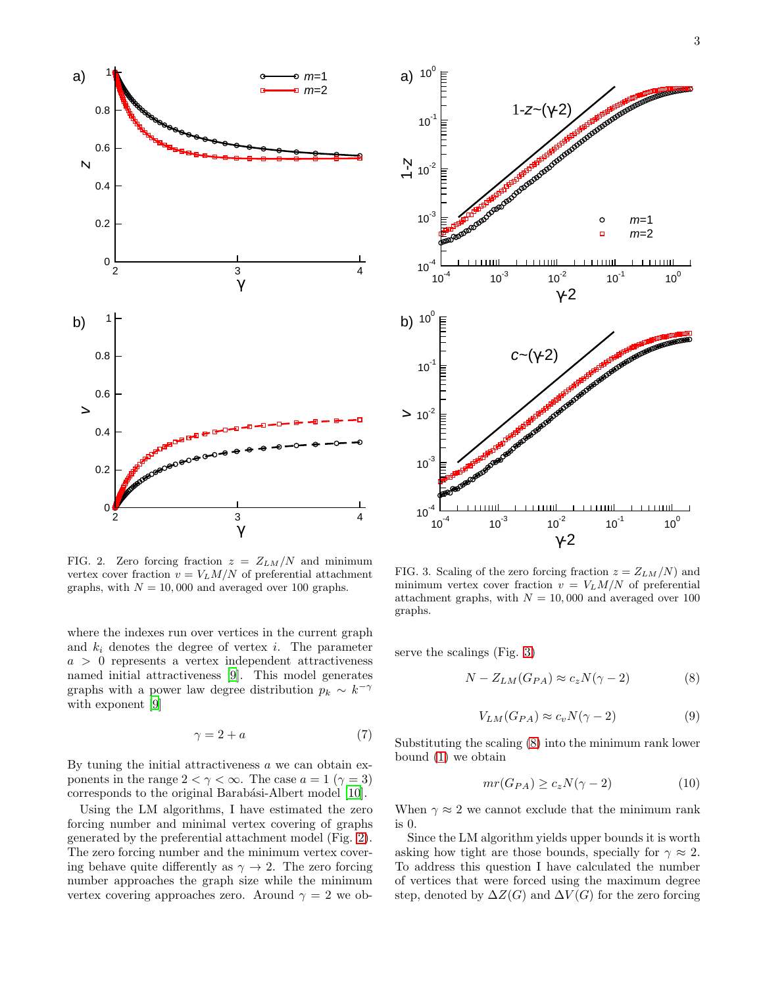

<span id="page-2-0"></span>FIG. 2. Zero forcing fraction  $z = Z_{LM}/N$  and minimum vertex cover fraction  $v = V_L M/N$  of preferential attachment graphs, with  $N = 10,000$  and averaged over 100 graphs.

where the indexes run over vertices in the current graph and  $k_i$  denotes the degree of vertex i. The parameter  $a > 0$  represents a vertex independent attractiveness named initial attractiveness [\[9\]](#page-5-5). This model generates graphs with a power law degree distribution  $p_k \sim k^{-\gamma}$ with exponent [\[9](#page-5-5)]

$$
\gamma = 2 + a \tag{7}
$$

By tuning the initial attractiveness  $a$  we can obtain exponents in the range  $2 < \gamma < \infty$ . The case  $a = 1$  ( $\gamma = 3$ ) corresponds to the original Barabási-Albert model [\[10\]](#page-5-6).

Using the LM algorithms, I have estimated the zero forcing number and minimal vertex covering of graphs generated by the preferential attachment model (Fig. [2\)](#page-2-0). The zero forcing number and the minimum vertex covering behave quite differently as  $\gamma \to 2$ . The zero forcing number approaches the graph size while the minimum vertex covering approaches zero. Around  $\gamma = 2$  we ob-



<span id="page-2-1"></span>FIG. 3. Scaling of the zero forcing fraction  $z = Z_{LM}/N$  and minimum vertex cover fraction  $v = V_L M/N$  of preferential attachment graphs, with  $N = 10,000$  and averaged over 100 graphs.

serve the scalings (Fig. [3\)](#page-2-1)

<span id="page-2-2"></span>
$$
N - Z_{LM}(G_{PA}) \approx c_z N(\gamma - 2)
$$
 (8)

$$
V_{LM}(G_{PA}) \approx c_v N(\gamma - 2)
$$
\n(9)

Substituting the scaling [\(8\)](#page-2-2) into the minimum rank lower bound [\(1\)](#page-0-1) we obtain

$$
mr(G_{PA}) \ge c_z N(\gamma - 2)
$$
 (10)

When  $\gamma \approx 2$  we cannot exclude that the minimum rank is 0.

Since the LM algorithm yields upper bounds it is worth asking how tight are those bounds, specially for  $\gamma \approx 2$ . To address this question I have calculated the number of vertices that were forced using the maximum degree step, denoted by  $\Delta Z(G)$  and  $\Delta V(G)$  for the zero forcing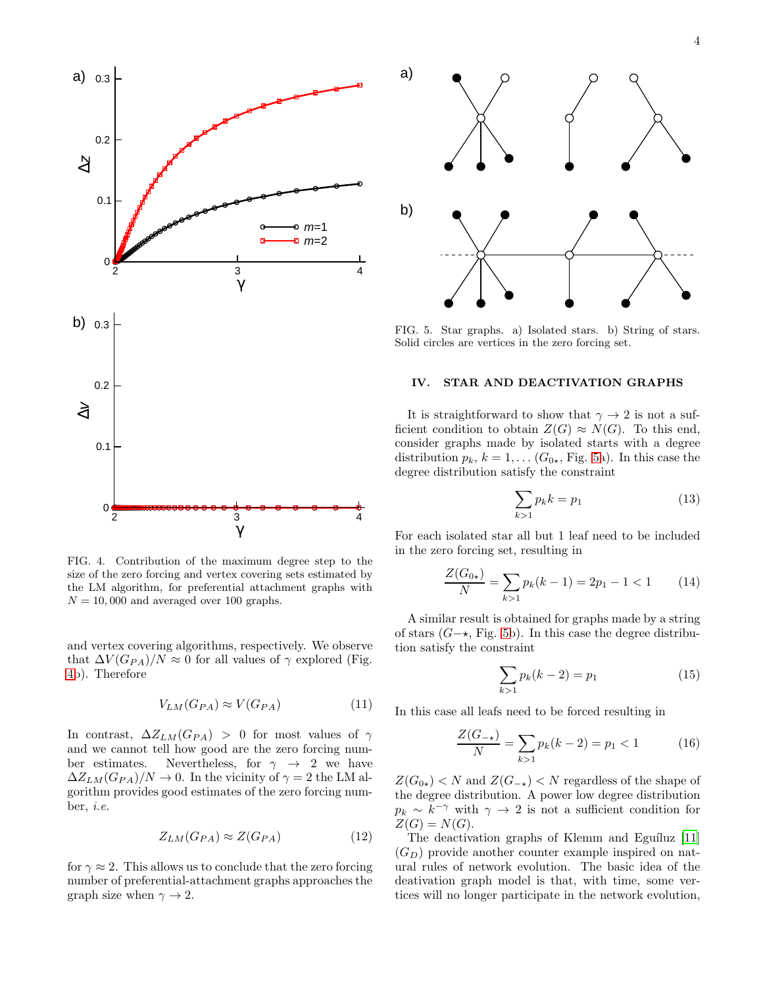

<span id="page-3-0"></span>FIG. 4. Contribution of the maximum degree step to the size of the zero forcing and vertex covering sets estimated by the LM algorithm, for preferential attachment graphs with  $N = 10,000$  and averaged over 100 graphs.

and vertex covering algorithms, respectively. We observe that  $\Delta V (G_{PA})/N \approx 0$  for all values of  $\gamma$  explored (Fig. [4b](#page-3-0)). Therefore

$$
V_{LM}(G_{PA}) \approx V(G_{PA})\tag{11}
$$

In contrast,  $\Delta Z_{LM}(G_{PA}) > 0$  for most values of  $\gamma$ and we cannot tell how good are the zero forcing number estimates. Nevertheless, for  $\gamma \rightarrow 2$  we have  $\Delta Z_{LM}(G_{PA})/N \to 0$ . In the vicinity of  $\gamma = 2$  the LM algorithm provides good estimates of the zero forcing number, i.e.

$$
Z_{LM}(G_{PA}) \approx Z(G_{PA})\tag{12}
$$

for  $\gamma \approx 2$ . This allows us to conclude that the zero forcing number of preferential-attachment graphs approaches the graph size when  $\gamma \rightarrow 2$ .



<span id="page-3-1"></span>FIG. 5. Star graphs. a) Isolated stars. b) String of stars. Solid circles are vertices in the zero forcing set.

#### IV. STAR AND DEACTIVATION GRAPHS

It is straightforward to show that  $\gamma \to 2$  is not a sufficient condition to obtain  $Z(G) \approx N(G)$ . To this end, consider graphs made by isolated starts with a degree distribution  $p_k$ ,  $k = 1, \ldots (G_{0\star}, \text{Fig. 5a}).$  $k = 1, \ldots (G_{0\star}, \text{Fig. 5a}).$  $k = 1, \ldots (G_{0\star}, \text{Fig. 5a}).$  In this case the degree distribution satisfy the constraint

$$
\sum_{k>1} p_k k = p_1 \tag{13}
$$

For each isolated star all but 1 leaf need to be included in the zero forcing set, resulting in

$$
\frac{Z(G_{0\star})}{N} = \sum_{k>1} p_k(k-1) = 2p_1 - 1 < 1 \tag{14}
$$

A similar result is obtained for graphs made by a string of stars  $(G- \star, Fig. 5b)$  $(G- \star, Fig. 5b)$  $(G- \star, Fig. 5b)$ . In this case the degree distribution satisfy the constraint

$$
\sum_{k>1} p_k(k-2) = p_1 \tag{15}
$$

In this case all leafs need to be forced resulting in

$$
\frac{Z(G_{-k})}{N} = \sum_{k>1} p_k(k-2) = p_1 < 1 \tag{16}
$$

 $Z(G_{0\star})$  < N and  $Z(G_{-\star})$  < N regardless of the shape of the degree distribution. A power low degree distribution  $p_k \sim \tilde{k}^{-\gamma}$  with  $\gamma \to 2$  is not a sufficient condition for  $Z(G) = N(G)$ .

The deactivation graphs of Klemm and Eguíluz [\[11](#page-5-7)]  $(G_D)$  provide another counter example inspired on natural rules of network evolution. The basic idea of the deativation graph model is that, with time, some vertices will no longer participate in the network evolution,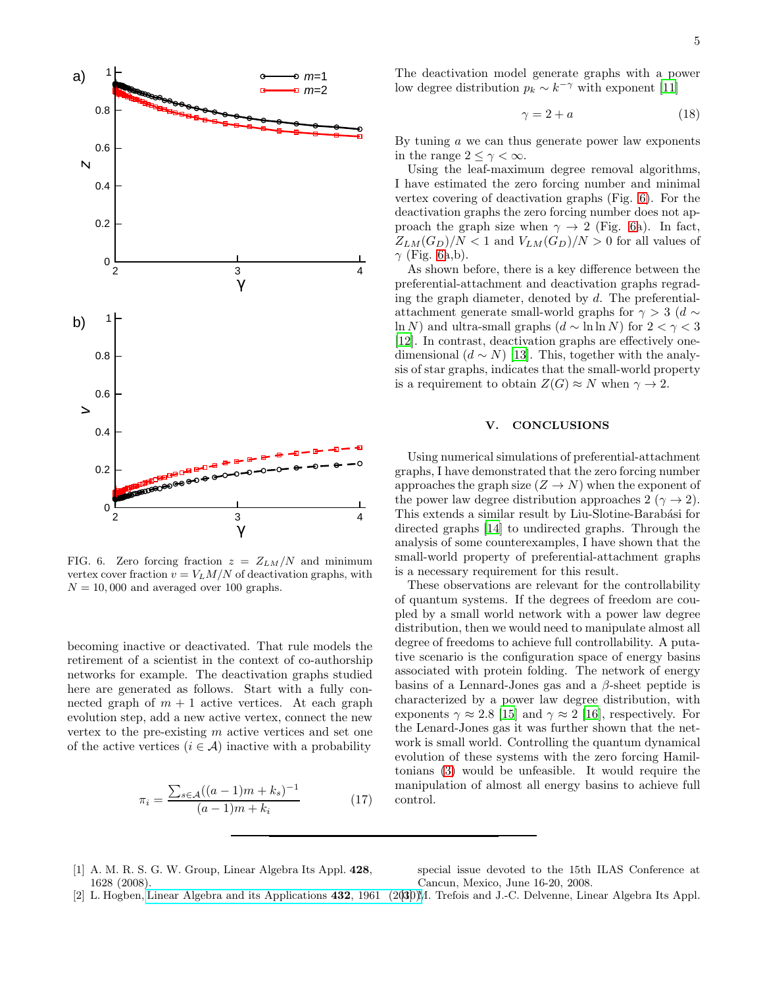

<span id="page-4-3"></span>FIG. 6. Zero forcing fraction  $z = Z_{LM}/N$  and minimum vertex cover fraction  $v = V_L M/N$  of deactivation graphs, with  $N = 10,000$  and averaged over 100 graphs.

becoming inactive or deactivated. That rule models the retirement of a scientist in the context of co-authorship networks for example. The deactivation graphs studied here are generated as follows. Start with a fully connected graph of  $m + 1$  active vertices. At each graph evolution step, add a new active vertex, connect the new vertex to the pre-existing m active vertices and set one of the active vertices  $(i \in \mathcal{A})$  inactive with a probability

$$
\pi_i = \frac{\sum_{s \in \mathcal{A}} ((a-1)m + k_s)^{-1}}{(a-1)m + k_i} \tag{17}
$$

The deactivation model generate graphs with a power low degree distribution  $p_k \sim k^{-\gamma}$  with exponent [\[11](#page-5-7)]

$$
\gamma = 2 + a \tag{18}
$$

By tuning a we can thus generate power law exponents in the range  $2 \leq \gamma < \infty$ .

Using the leaf-maximum degree removal algorithms, I have estimated the zero forcing number and minimal vertex covering of deactivation graphs (Fig. [6\)](#page-4-3). For the deactivation graphs the zero forcing number does not approach the graph size when  $\gamma \rightarrow 2$  (Fig. [6a](#page-4-3)). In fact,  $Z_{LM}(G_D)/N < 1$  and  $V_{LM}(G_D)/N > 0$  for all values of  $\gamma$  (Fig. [6a](#page-4-3),b).

As shown before, there is a key difference between the preferential-attachment and deactivation graphs regrading the graph diameter, denoted by  $d$ . The preferentialattachment generate small-world graphs for  $\gamma > 3$  (d  $\sim$ ln N) and ultra-small graphs  $(d \sim \ln \ln N)$  for  $2 < \gamma < 3$ [\[12\]](#page-5-8). In contrast, deactivation graphs are effectively onedimensional  $(d \sim N)$  [\[13\]](#page-5-9). This, together with the analysis of star graphs, indicates that the small-world property is a requirement to obtain  $Z(G) \approx N$  when  $\gamma \to 2$ .

#### V. CONCLUSIONS

Using numerical simulations of preferential-attachment graphs, I have demonstrated that the zero forcing number approaches the graph size  $(Z \to N)$  when the exponent of the power law degree distribution approaches 2 ( $\gamma \rightarrow 2$ ). This extends a similar result by Liu-Slotine-Barabási for directed graphs [\[14\]](#page-5-10) to undirected graphs. Through the analysis of some counterexamples, I have shown that the small-world property of preferential-attachment graphs is a necessary requirement for this result.

These observations are relevant for the controllability of quantum systems. If the degrees of freedom are coupled by a small world network with a power law degree distribution, then we would need to manipulate almost all degree of freedoms to achieve full controllability. A putative scenario is the configuration space of energy basins associated with protein folding. The network of energy basins of a Lennard-Jones gas and a  $\beta$ -sheet peptide is characterized by a power law degree distribution, with exponents  $\gamma \approx 2.8$  [\[15](#page-5-11)] and  $\gamma \approx 2$  [\[16](#page-5-12)], respectively. For the Lenard-Jones gas it was further shown that the network is small world. Controlling the quantum dynamical evolution of these systems with the zero forcing Hamiltonians [\(3\)](#page-0-3) would be unfeasible. It would require the manipulation of almost all energy basins to achieve full control.

<span id="page-4-0"></span>[1] A. M. R. S. G. W. Group, Linear Algebra Its Appl. 428, 1628 (2008).

special issue devoted to the 15th ILAS Conference at Cancun, Mexico, June 16-20, 2008.

<span id="page-4-2"></span>[2] L. Hogben, [Linear Algebra and its Applications](http://dx.doi.org/https://doi.org/10.1016/j.laa.2009.05.003) 432, 1961 (2030)M. Trefois and J.-C. Delvenne, Linear Algebra Its Appl.

<span id="page-4-1"></span>